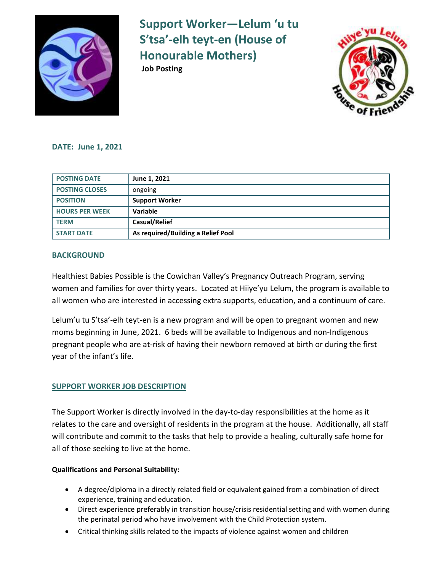

**Support Worker—Lelum 'u tu S'tsa'-elh teyt-en (House of Honourable Mothers) Job Posting** 



### **DATE: June 1, 2021**

| <b>POSTING DATE</b>   | June 1, 2021                       |
|-----------------------|------------------------------------|
| <b>POSTING CLOSES</b> | ongoing                            |
| <b>POSITION</b>       | <b>Support Worker</b>              |
| <b>HOURS PER WEEK</b> | Variable                           |
| l TERM                | <b>Casual/Relief</b>               |
| <b>START DATE</b>     | As required/Building a Relief Pool |

### **BACKGROUND**

Healthiest Babies Possible is the Cowichan Valley's Pregnancy Outreach Program, serving women and families for over thirty years. Located at Hiiye'yu Lelum, the program is available to all women who are interested in accessing extra supports, education, and a continuum of care.

Lelum'u tu S'tsa'-elh teyt-en is a new program and will be open to pregnant women and new moms beginning in June, 2021. 6 beds will be available to Indigenous and non-Indigenous pregnant people who are at-risk of having their newborn removed at birth or during the first year of the infant's life.

## **SUPPORT WORKER JOB DESCRIPTION**

The Support Worker is directly involved in the day-to-day responsibilities at the home as it relates to the care and oversight of residents in the program at the house. Additionally, all staff will contribute and commit to the tasks that help to provide a healing, culturally safe home for all of those seeking to live at the home.

### **Qualifications and Personal Suitability:**

- A degree/diploma in a directly related field or equivalent gained from a combination of direct experience, training and education.
- Direct experience preferably in transition house/crisis residential setting and with women during the perinatal period who have involvement with the Child Protection system.
- Critical thinking skills related to the impacts of violence against women and children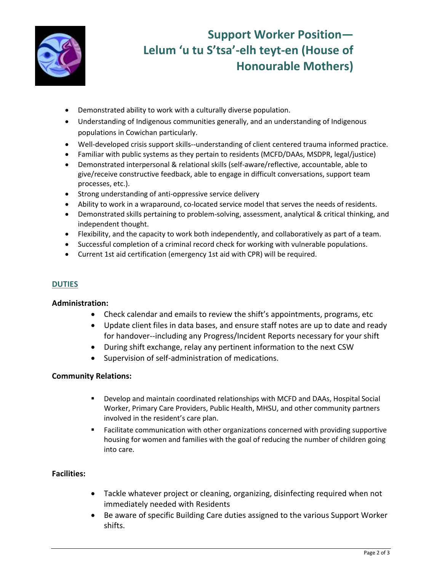

# **Support Worker Position— Lelum 'u tu S'tsa'-elh teyt-en (House of Honourable Mothers)**

- Demonstrated ability to work with a culturally diverse population.
- Understanding of Indigenous communities generally, and an understanding of Indigenous populations in Cowichan particularly.
- Well-developed crisis support skills--understanding of client centered trauma informed practice.
- Familiar with public systems as they pertain to residents (MCFD/DAAs, MSDPR, legal/justice)
- Demonstrated interpersonal & relational skills (self-aware/reflective, accountable, able to give/receive constructive feedback, able to engage in difficult conversations, support team processes, etc.).
- Strong understanding of anti-oppressive service delivery
- Ability to work in a wraparound, co-located service model that serves the needs of residents.
- Demonstrated skills pertaining to problem-solving, assessment, analytical & critical thinking, and independent thought.
- Flexibility, and the capacity to work both independently, and collaboratively as part of a team.
- Successful completion of a criminal record check for working with vulnerable populations.
- Current 1st aid certification (emergency 1st aid with CPR) will be required.

## **DUTIES**

### **Administration:**

- Check calendar and emails to review the shift's appointments, programs, etc
- Update client files in data bases, and ensure staff notes are up to date and ready for handover--including any Progress/Incident Reports necessary for your shift
- During shift exchange, relay any pertinent information to the next CSW
- Supervision of self-administration of medications.

## **Community Relations:**

- Develop and maintain coordinated relationships with MCFD and DAAs, Hospital Social Worker, Primary Care Providers, Public Health, MHSU, and other community partners involved in the resident's care plan.
- Facilitate communication with other organizations concerned with providing supportive housing for women and families with the goal of reducing the number of children going into care.

### **Facilities:**

- Tackle whatever project or cleaning, organizing, disinfecting required when not immediately needed with Residents
- Be aware of specific Building Care duties assigned to the various Support Worker shifts.